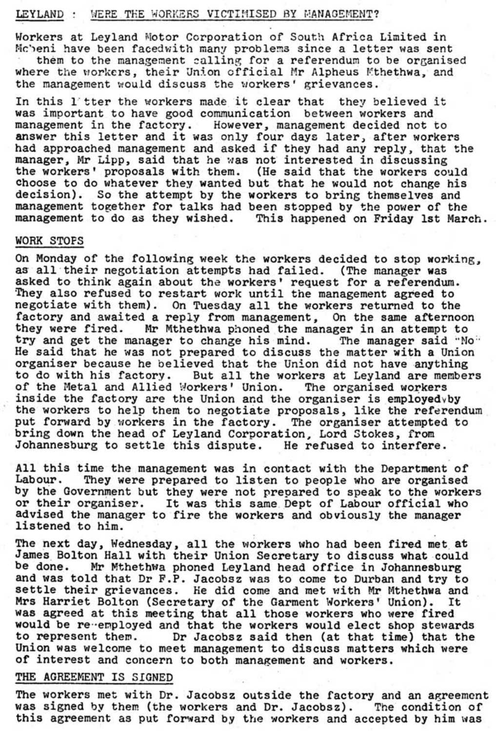## LEYLAND: WERE THE WORKERS VICTIMISED BY MANAGEMENT?

Workers at Leyland Motor Corporation of South Africa Limited in Mc'eni have been facedwith many problems since a letter was sent

them to the management calling for a referendum to be organised where the workers, their Union official Mr Alpheus Mthethwa, and the management would discuss the workers' grievances.

In this l"tter the workers made it clear that they believed it was important to have good communication between workers and management in the factory. However, management decided not to answer this letter and it was only four days later, after workers had approached management and asked if they had any reply. that the manager, Mr Lipp, said that he was not interested in discussing the workers' proposals with them. (He said that the workers could choose to do whatever they wanted but that he would not change his decision). So the attempt by the workers to bring themselves and management together for talks had been stopped by the power of the management to do as they wished. This happened on Friday 1st March.

## WORK STOFS

All this time the management was in contact with the Department of<br>Labour. They were prepared to listen to people who are organised They were prepared to listen to people who are organised by the Government but they were not prepared to speak to the workers or their organiser. It was this same Dept of Labour Official who advised the manager to fire the workers and obviously the manager listened to him.

The next day, Wednesday, all the workers who had been fired met at James Bolton Hall with their Union Secretary to discuss what could be done. Mr Mthethwa phoned Leyland head office in Johannesburg and was told that Dr F.P. Jacobsz was to come to Durban and try to settle their grievances. He did come and met with Mr Mthethwa and Mrs Harriet Bolton (Secretary of the Garment Workers' Union). It **waa** agreed at this meeting that all those workers who were fired would be re-employed and that the workers would elect shop stewards to represent them. Dr Jacobsz said then (at that time) that the Union was welcome to meet management to discuss matters which were of interest and concern to both management and workers.

On Monday of the following week the workers decided to stop working. as all their negotiation attempts had failed. (The manager was asked to think again about the workers' request for a referendum. They also refused to restart work until the management agreed to negotiate with them). On Tuesday all the workers returned to the factory and awaited a reply from management, On the same afternoon they were fired. Mr Mthethwa phoned the manager in an attempt to try and get the manager to change his mind. The manager said "No" He said that he was not prepared to discuss the matter with a Union organiser because he believed that the Union did not have anything to do with his factory. But all the workers at Leyland are members of the Metal and Allied Workers' Union. The organised workers inside the factory are the Union and the organiser is employed $v$ by the workers to help them to negotiate proposals, like the referendum put forward by workers in the factory. The organiser attempted to bring down the head of Leyland Corporation, Lord Stokes, from Johannesburg to settle this dispute. He refused to interfere.

## THE AGREEMENT IS SIGNED

The workers met with Dr. Jacobsz outside the factory and an agreement was signed by them (the workers and Dr. Jacobsz). The condition of this agreement as put forward by the workers and accepted by him was